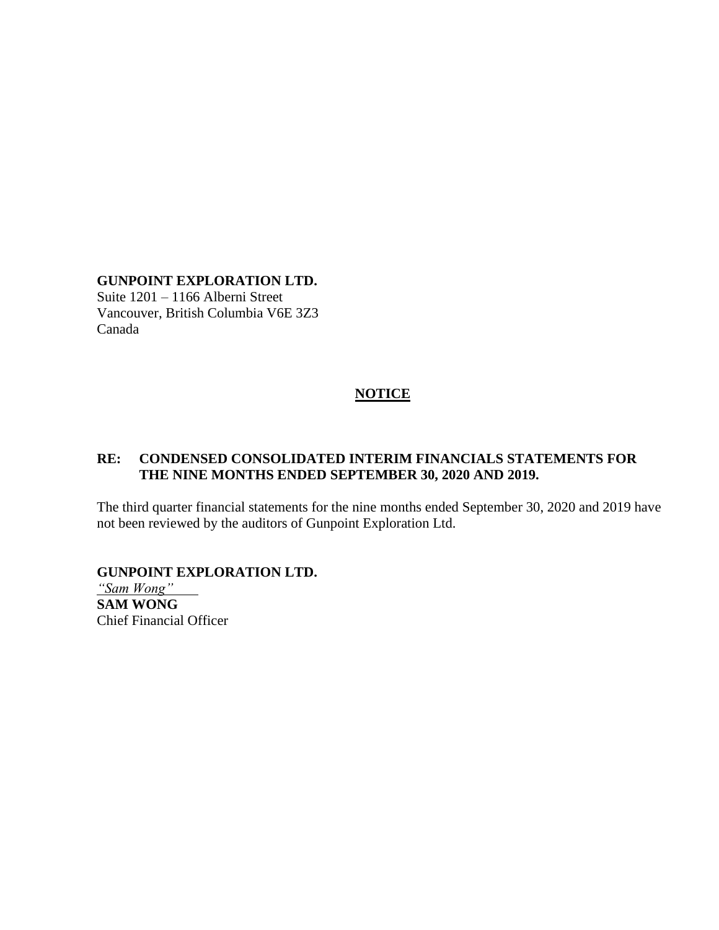# **GUNPOINT EXPLORATION LTD.**

Suite 1201 – 1166 Alberni Street Vancouver, British Columbia V6E 3Z3 Canada

### **NOTICE**

### **RE: CONDENSED CONSOLIDATED INTERIM FINANCIALS STATEMENTS FOR THE NINE MONTHS ENDED SEPTEMBER 30, 2020 AND 2019.**

The third quarter financial statements for the nine months ended September 30, 2020 and 2019 have not been reviewed by the auditors of Gunpoint Exploration Ltd.

**GUNPOINT EXPLORATION LTD.**

*"Sam Wong"* **SAM WONG** Chief Financial Officer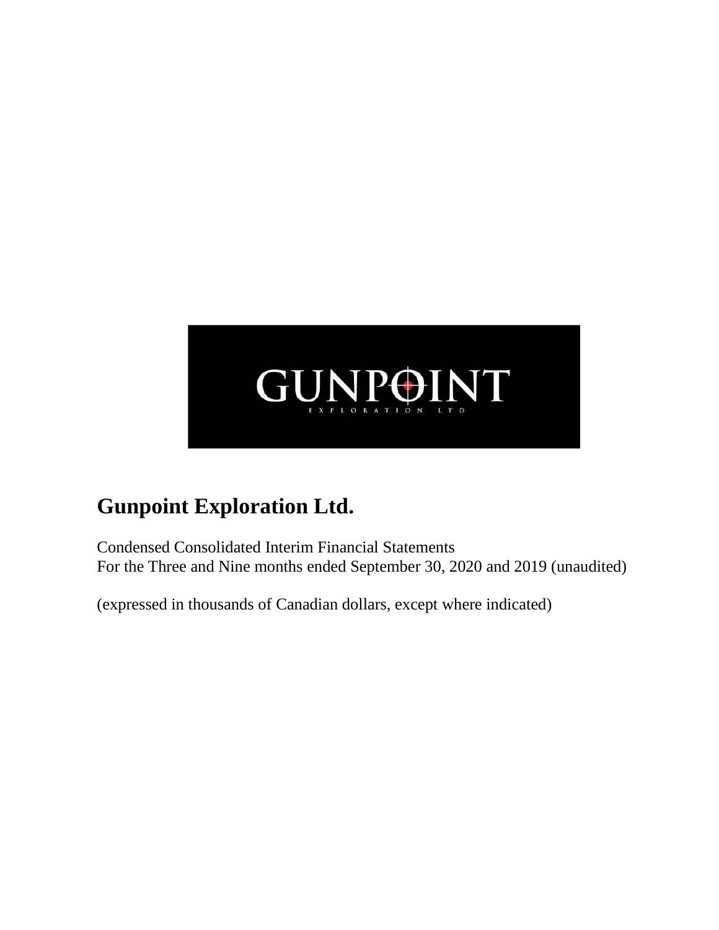

Condensed Consolidated Interim Financial Statements For the Three and Nine months ended September 30, 2020 and 2019 (unaudited)

(expressed in thousands of Canadian dollars, except where indicated)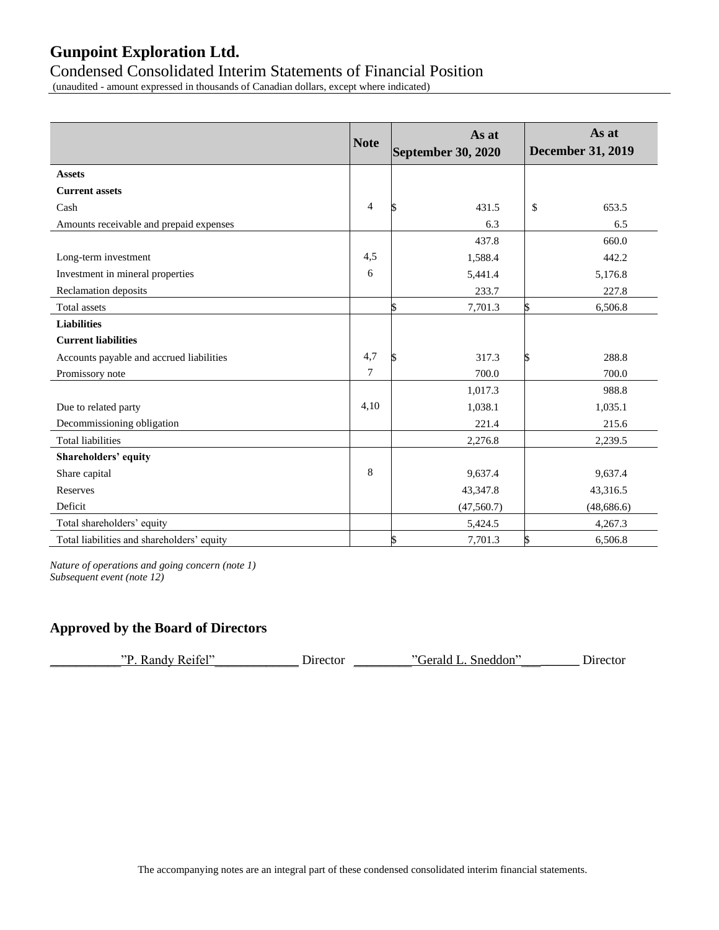### Condensed Consolidated Interim Statements of Financial Position

(unaudited - amount expressed in thousands of Canadian dollars, except where indicated)

|                                            | <b>Note</b>    | As at<br>September 30, 2020 | As at<br><b>December 31, 2019</b> |
|--------------------------------------------|----------------|-----------------------------|-----------------------------------|
| <b>Assets</b>                              |                |                             |                                   |
| <b>Current assets</b>                      |                |                             |                                   |
| Cash                                       | $\overline{4}$ | 431.5                       | 653.5<br>\$                       |
| Amounts receivable and prepaid expenses    |                | 6.3                         | 6.5                               |
|                                            |                | 437.8                       | 660.0                             |
| Long-term investment                       | 4,5            | 1,588.4                     | 442.2                             |
| Investment in mineral properties           | 6              | 5,441.4                     | 5,176.8                           |
| Reclamation deposits                       |                | 233.7                       | 227.8                             |
| Total assets                               |                | 7,701.3                     | 6,506.8<br>S                      |
| <b>Liabilities</b>                         |                |                             |                                   |
| <b>Current liabilities</b>                 |                |                             |                                   |
| Accounts payable and accrued liabilities   | 4,7            | 317.3                       | 288.8<br>S                        |
| Promissory note                            | $\tau$         | 700.0                       | 700.0                             |
|                                            |                | 1,017.3                     | 988.8                             |
| Due to related party                       | 4,10           | 1,038.1                     | 1,035.1                           |
| Decommissioning obligation                 |                | 221.4                       | 215.6                             |
| <b>Total liabilities</b>                   |                | 2,276.8                     | 2,239.5                           |
| Shareholders' equity                       |                |                             |                                   |
| Share capital                              | 8              | 9,637.4                     | 9,637.4                           |
| <b>Reserves</b>                            |                | 43,347.8                    | 43,316.5                          |
| Deficit                                    |                | (47, 560.7)                 | (48, 686.6)                       |
| Total shareholders' equity                 |                | 5,424.5                     | 4,267.3                           |
| Total liabilities and shareholders' equity |                | 7,701.3                     | 6,506.8<br>S                      |

*Nature of operations and going concern (note 1) Subsequent event (note 12)*

### **Approved by the Board of Directors**

| Randy Reifel"<br>סיי | Director | Gerald L. Sneddon" | Director |
|----------------------|----------|--------------------|----------|
|                      |          |                    |          |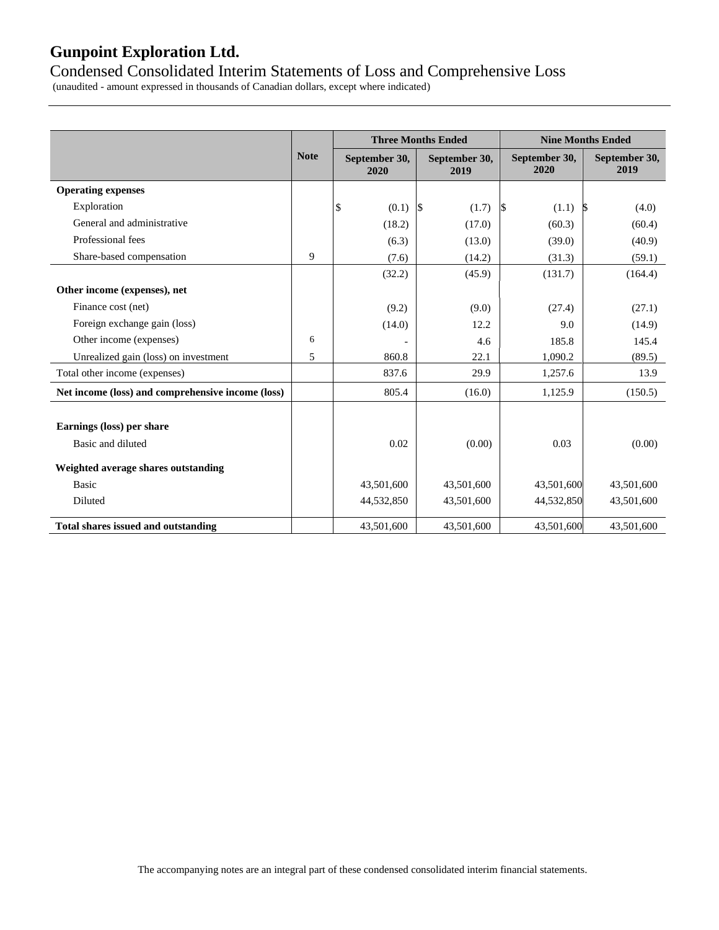### Condensed Consolidated Interim Statements of Loss and Comprehensive Loss

(unaudited - amount expressed in thousands of Canadian dollars, except where indicated)

|                                                   |             |                       | <b>Three Months Ended</b> |                       | <b>Nine Months Ended</b> |  |  |
|---------------------------------------------------|-------------|-----------------------|---------------------------|-----------------------|--------------------------|--|--|
|                                                   | <b>Note</b> | September 30,<br>2020 | September 30,<br>2019     | September 30,<br>2020 | September 30,<br>2019    |  |  |
| <b>Operating expenses</b>                         |             |                       |                           |                       |                          |  |  |
| Exploration                                       |             | \$<br>(0.1)           | $\sqrt{3}$<br>(1.7)       | $\sqrt{S}$<br>(1.1)   | (4.0)<br>S               |  |  |
| General and administrative                        |             | (18.2)                | (17.0)                    | (60.3)                | (60.4)                   |  |  |
| Professional fees                                 |             | (6.3)                 | (13.0)                    | (39.0)                | (40.9)                   |  |  |
| Share-based compensation                          | 9           | (7.6)                 | (14.2)                    | (31.3)                | (59.1)                   |  |  |
|                                                   |             | (32.2)                | (45.9)                    | (131.7)               | (164.4)                  |  |  |
| Other income (expenses), net                      |             |                       |                           |                       |                          |  |  |
| Finance cost (net)                                |             | (9.2)                 | (9.0)                     | (27.4)                | (27.1)                   |  |  |
| Foreign exchange gain (loss)                      |             | (14.0)                | 12.2                      | 9.0                   | (14.9)                   |  |  |
| Other income (expenses)                           | 6           |                       | 4.6                       | 185.8                 | 145.4                    |  |  |
| Unrealized gain (loss) on investment              | 5           | 860.8                 | 22.1                      | 1,090.2               | (89.5)                   |  |  |
| Total other income (expenses)                     |             | 837.6                 | 29.9                      | 1,257.6               | 13.9                     |  |  |
| Net income (loss) and comprehensive income (loss) |             | 805.4                 | (16.0)                    | 1,125.9               | (150.5)                  |  |  |
|                                                   |             |                       |                           |                       |                          |  |  |
| Earnings (loss) per share                         |             |                       |                           |                       |                          |  |  |
| Basic and diluted                                 |             | 0.02                  | (0.00)                    | 0.03                  | (0.00)                   |  |  |
| Weighted average shares outstanding               |             |                       |                           |                       |                          |  |  |
| <b>Basic</b>                                      |             | 43,501,600            | 43,501,600                | 43,501,600            | 43,501,600               |  |  |
| Diluted                                           |             | 44,532,850            | 43,501,600                | 44,532,850            | 43,501,600               |  |  |
| <b>Total shares issued and outstanding</b>        |             | 43,501,600            | 43,501,600                | 43,501,600            | 43,501,600               |  |  |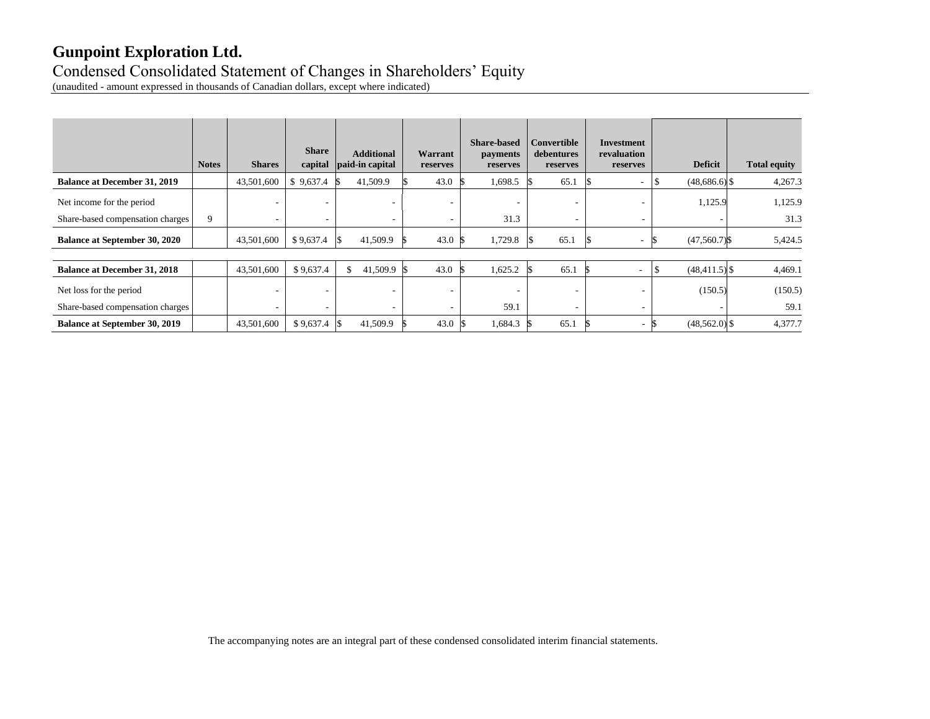# Condensed Consolidated Statement of Changes in Shareholders' Equity

(unaudited - amount expressed in thousands of Canadian dollars, except where indicated)

|                                      | <b>Notes</b> | <b>Shares</b>            | <b>Share</b><br>capital | <b>Additional</b><br>paid-in capital | Warrant<br>reserves      | <b>Share-based</b><br><i>payments</i><br>reserves | Convertible<br>debentures<br>reserves | Investment<br>revaluation<br>reserves | <b>Deficit</b>   | <b>Total equity</b> |
|--------------------------------------|--------------|--------------------------|-------------------------|--------------------------------------|--------------------------|---------------------------------------------------|---------------------------------------|---------------------------------------|------------------|---------------------|
| <b>Balance at December 31, 2019</b>  |              | 43,501,600               | \$9,637.4               | 41,509.9                             | 43.0                     | 1,698.5                                           | 65.1                                  | $\overline{\phantom{a}}$              | $(48,686.6)$ \$  | 4,267.3             |
| Net income for the period            |              | ٠                        | ٠                       |                                      | ۰                        | ٠                                                 | ۰                                     | $\overline{\phantom{a}}$              | 1,125.9          | 1,125.9             |
| Share-based compensation charges     | 9            | $\overline{\phantom{a}}$ |                         | $\overline{\phantom{a}}$             |                          | 31.3                                              | ۰                                     |                                       |                  | 31.3                |
| <b>Balance at September 30, 2020</b> |              | 43,501,600               | \$9,637.4               | 41,509.9                             | 43.0                     | 1,729.8                                           | 65.1                                  | ۰.                                    | $(47,560.7)$ \$  | 5,424.5             |
|                                      |              |                          |                         |                                      |                          |                                                   |                                       |                                       |                  |                     |
| <b>Balance at December 31, 2018</b>  |              | 43,501,600               | \$9,637.4               | 41,509.9<br>\$                       | 43.0                     | 1,625.2                                           | 65.1                                  | $\overline{\phantom{a}}$              | $(48, 411.5)$ \$ | 4,469.1             |
| Net loss for the period              |              | ۰                        | ٠                       | $\overline{\phantom{a}}$             | $\overline{\phantom{a}}$ | $\overline{\phantom{a}}$                          | ۰                                     | $\overline{\phantom{a}}$              | (150.5)          | (150.5)             |
| Share-based compensation charges     |              | ٠                        | ٠                       | $\overline{\phantom{a}}$             |                          | 59.1                                              | -                                     | $\overline{\phantom{a}}$              |                  | 59.1                |
| <b>Balance at September 30, 2019</b> |              | 43,501,600               | \$9,637.4               | 41,509.9                             | 43.0                     | 1,684.3                                           | 65.1                                  | $\sim$                                | $(48,562.0)$ \$  | 4,377.7             |

The accompanying notes are an integral part of these condensed consolidated interim financial statements.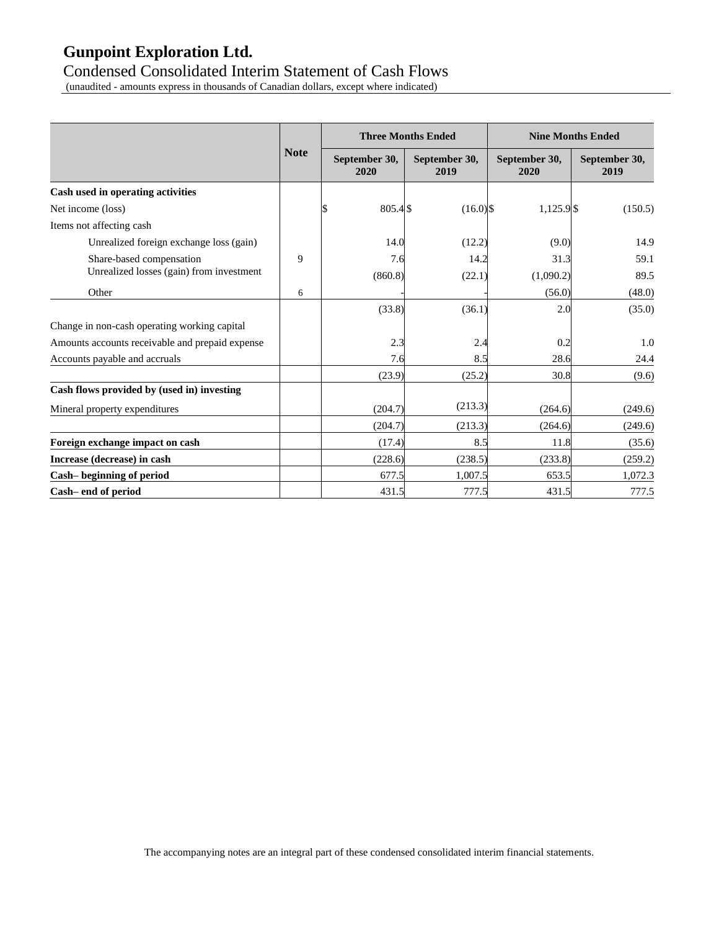### Condensed Consolidated Interim Statement of Cash Flows

(unaudited - amounts express in thousands of Canadian dollars, except where indicated)

|                                                 |             |                       | <b>Three Months Ended</b> |                       | <b>Nine Months Ended</b> |
|-------------------------------------------------|-------------|-----------------------|---------------------------|-----------------------|--------------------------|
|                                                 | <b>Note</b> | September 30,<br>2020 | September 30,<br>2019     | September 30,<br>2020 | September 30,<br>2019    |
| Cash used in operating activities               |             |                       |                           |                       |                          |
| Net income (loss)                               |             | 805.4\$<br>l\$        | $(16.0)$ \$               | $1,125.9$ \$          | (150.5)                  |
| Items not affecting cash                        |             |                       |                           |                       |                          |
| Unrealized foreign exchange loss (gain)         |             | 14.0                  | (12.2)                    | (9.0)                 | 14.9                     |
| Share-based compensation                        | 9           | 7.6                   | 14.2                      | 31.3                  | 59.1                     |
| Unrealized losses (gain) from investment        |             | (860.8)               | (22.1)                    | (1,090.2)             | 89.5                     |
| Other                                           | 6           |                       |                           | (56.0)                | (48.0)                   |
|                                                 |             | (33.8)                | (36.1)                    | 2.0                   | (35.0)                   |
| Change in non-cash operating working capital    |             |                       |                           |                       |                          |
| Amounts accounts receivable and prepaid expense |             | 2.3                   | 2.4                       | 0.2                   | 1.0                      |
| Accounts payable and accruals                   |             | 7.6                   | 8.5                       | 28.6                  | 24.4                     |
|                                                 |             | (23.9)                | (25.2)                    | 30.8                  | (9.6)                    |
| Cash flows provided by (used in) investing      |             |                       |                           |                       |                          |
| Mineral property expenditures                   |             | (204.7)               | (213.3)                   | (264.6)               | (249.6)                  |
|                                                 |             | (204.7)               | (213.3)                   | (264.6)               | (249.6)                  |
| Foreign exchange impact on cash                 |             | (17.4)                | 8.5                       | 11.8                  | (35.6)                   |
| Increase (decrease) in cash                     |             | (228.6)               | (238.5)                   | (233.8)               | (259.2)                  |
| Cash-beginning of period                        |             | 677.5                 | 1,007.5                   | 653.5                 | 1,072.3                  |
| Cash-end of period                              |             | 431.5                 | 777.5                     | 431.5                 | 777.5                    |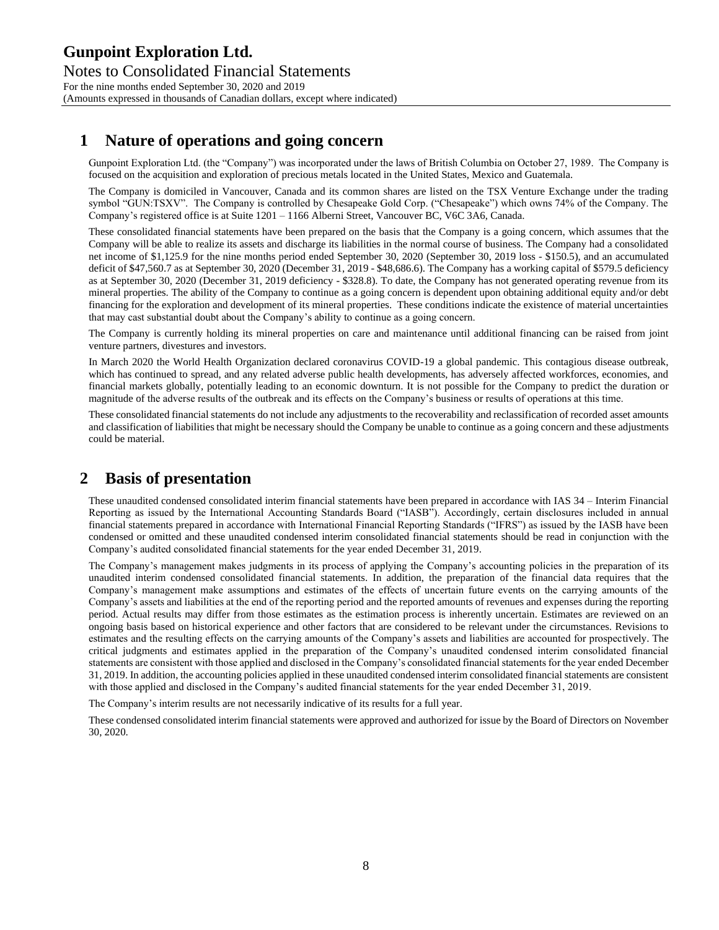## **1 Nature of operations and going concern**

Gunpoint Exploration Ltd. (the "Company") was incorporated under the laws of British Columbia on October 27, 1989. The Company is focused on the acquisition and exploration of precious metals located in the United States, Mexico and Guatemala.

The Company is domiciled in Vancouver, Canada and its common shares are listed on the TSX Venture Exchange under the trading symbol "GUN:TSXV". The Company is controlled by Chesapeake Gold Corp. ("Chesapeake") which owns 74% of the Company. The Company's registered office is at Suite 1201 – 1166 Alberni Street, Vancouver BC, V6C 3A6, Canada.

These consolidated financial statements have been prepared on the basis that the Company is a going concern, which assumes that the Company will be able to realize its assets and discharge its liabilities in the normal course of business. The Company had a consolidated net income of \$1,125.9 for the nine months period ended September 30, 2020 (September 30, 2019 loss - \$150.5), and an accumulated deficit of \$47,560.7 as at September 30, 2020 (December 31, 2019 - \$48,686.6). The Company has a working capital of \$579.5 deficiency as at September 30, 2020 (December 31, 2019 deficiency - \$328.8). To date, the Company has not generated operating revenue from its mineral properties. The ability of the Company to continue as a going concern is dependent upon obtaining additional equity and/or debt financing for the exploration and development of its mineral properties. These conditions indicate the existence of material uncertainties that may cast substantial doubt about the Company's ability to continue as a going concern.

The Company is currently holding its mineral properties on care and maintenance until additional financing can be raised from joint venture partners, divestures and investors.

In March 2020 the World Health Organization declared coronavirus COVID-19 a global pandemic. This contagious disease outbreak, which has continued to spread, and any related adverse public health developments, has adversely affected workforces, economies, and financial markets globally, potentially leading to an economic downturn. It is not possible for the Company to predict the duration or magnitude of the adverse results of the outbreak and its effects on the Company's business or results of operations at this time.

These consolidated financial statements do not include any adjustments to the recoverability and reclassification of recorded asset amounts and classification of liabilities that might be necessary should the Company be unable to continue as a going concern and these adjustments could be material.

### **2 Basis of presentation**

These unaudited condensed consolidated interim financial statements have been prepared in accordance with IAS 34 – Interim Financial Reporting as issued by the International Accounting Standards Board ("IASB"). Accordingly, certain disclosures included in annual financial statements prepared in accordance with International Financial Reporting Standards ("IFRS") as issued by the IASB have been condensed or omitted and these unaudited condensed interim consolidated financial statements should be read in conjunction with the Company's audited consolidated financial statements for the year ended December 31, 2019.

The Company's management makes judgments in its process of applying the Company's accounting policies in the preparation of its unaudited interim condensed consolidated financial statements. In addition, the preparation of the financial data requires that the Company's management make assumptions and estimates of the effects of uncertain future events on the carrying amounts of the Company's assets and liabilities at the end of the reporting period and the reported amounts of revenues and expenses during the reporting period. Actual results may differ from those estimates as the estimation process is inherently uncertain. Estimates are reviewed on an ongoing basis based on historical experience and other factors that are considered to be relevant under the circumstances. Revisions to estimates and the resulting effects on the carrying amounts of the Company's assets and liabilities are accounted for prospectively. The critical judgments and estimates applied in the preparation of the Company's unaudited condensed interim consolidated financial statements are consistent with those applied and disclosed in the Company's consolidated financial statements for the year ended December 31, 2019. In addition, the accounting policies applied in these unaudited condensed interim consolidated financial statements are consistent with those applied and disclosed in the Company's audited financial statements for the year ended December 31, 2019.

The Company's interim results are not necessarily indicative of its results for a full year.

These condensed consolidated interim financial statements were approved and authorized for issue by the Board of Directors on November 30, 2020.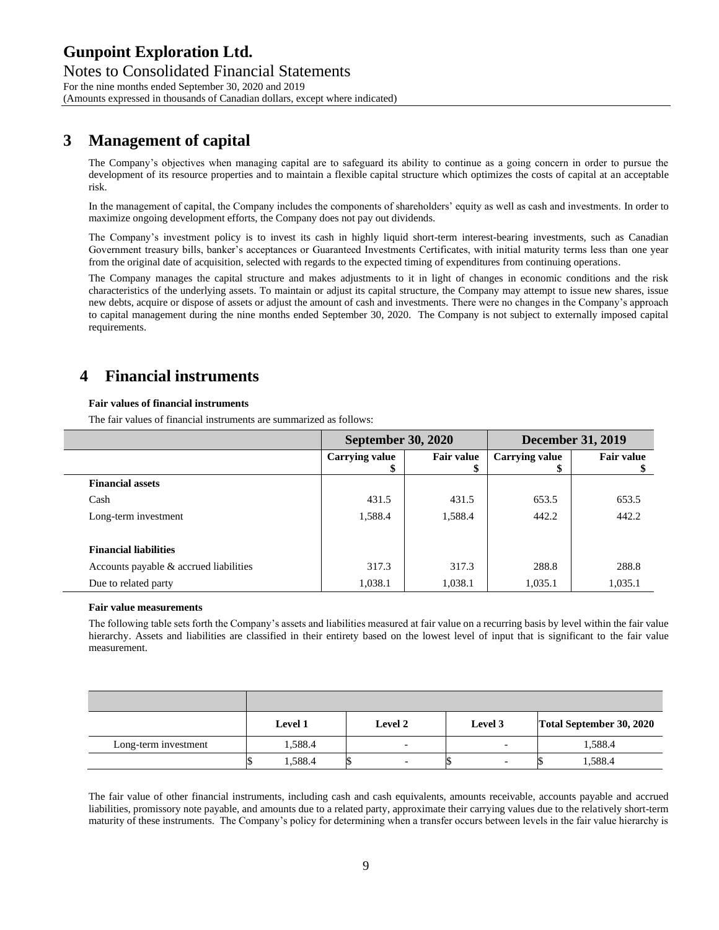# **3 Management of capital**

The Company's objectives when managing capital are to safeguard its ability to continue as a going concern in order to pursue the development of its resource properties and to maintain a flexible capital structure which optimizes the costs of capital at an acceptable risk.

In the management of capital, the Company includes the components of shareholders' equity as well as cash and investments. In order to maximize ongoing development efforts, the Company does not pay out dividends.

The Company's investment policy is to invest its cash in highly liquid short-term interest-bearing investments, such as Canadian Government treasury bills, banker's acceptances or Guaranteed Investments Certificates, with initial maturity terms less than one year from the original date of acquisition, selected with regards to the expected timing of expenditures from continuing operations.

The Company manages the capital structure and makes adjustments to it in light of changes in economic conditions and the risk characteristics of the underlying assets. To maintain or adjust its capital structure, the Company may attempt to issue new shares, issue new debts, acquire or dispose of assets or adjust the amount of cash and investments. There were no changes in the Company's approach to capital management during the nine months ended September 30, 2020. The Company is not subject to externally imposed capital requirements.

# **4 Financial instruments**

#### **Fair values of financial instruments**

The fair values of financial instruments are summarized as follows:

|                                        | <b>September 30, 2020</b> |                        | <b>December 31, 2019</b> |                   |  |
|----------------------------------------|---------------------------|------------------------|--------------------------|-------------------|--|
|                                        | <b>Carrying value</b>     | <b>Fair value</b><br>S | <b>Carrying value</b>    | <b>Fair value</b> |  |
| <b>Financial assets</b>                |                           |                        |                          |                   |  |
| Cash                                   | 431.5                     | 431.5                  | 653.5                    | 653.5             |  |
| Long-term investment                   | 1,588.4                   | 1,588.4                | 442.2                    | 442.2             |  |
| <b>Financial liabilities</b>           |                           |                        |                          |                   |  |
| Accounts payable & accrued liabilities | 317.3                     | 317.3                  | 288.8                    | 288.8             |  |
| Due to related party                   | 1,038.1                   | 1,038.1                | 1,035.1                  | 1,035.1           |  |

#### **Fair value measurements**

The following table sets forth the Company's assets and liabilities measured at fair value on a recurring basis by level within the fair value hierarchy. Assets and liabilities are classified in their entirety based on the lowest level of input that is significant to the fair value measurement.

|                      | <b>Level 1</b> | Level 2                  | Level 3                  | Total September 30, 2020 |
|----------------------|----------------|--------------------------|--------------------------|--------------------------|
| Long-term investment | 1,588.4        | $\overline{\phantom{0}}$ | $\overline{\phantom{0}}$ | 1,588.4                  |
|                      | 1,588.4        | $\overline{\phantom{0}}$ | $\overline{\phantom{0}}$ | 1,588.4                  |

The fair value of other financial instruments, including cash and cash equivalents, amounts receivable, accounts payable and accrued liabilities, promissory note payable, and amounts due to a related party, approximate their carrying values due to the relatively short-term maturity of these instruments. The Company's policy for determining when a transfer occurs between levels in the fair value hierarchy is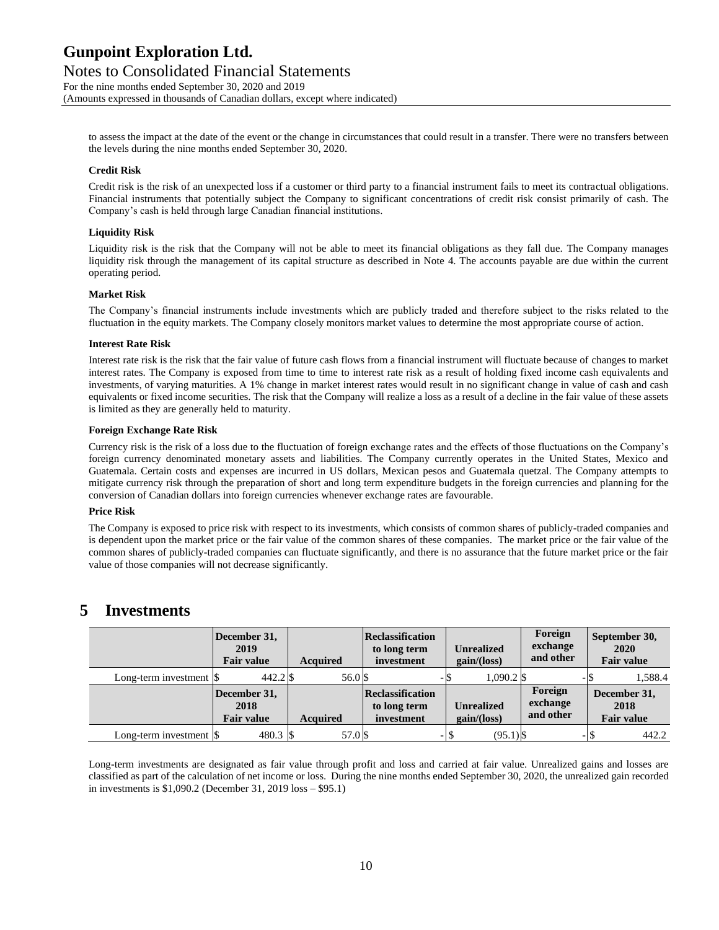to assess the impact at the date of the event or the change in circumstances that could result in a transfer. There were no transfers between the levels during the nine months ended September 30, 2020.

#### **Credit Risk**

Credit risk is the risk of an unexpected loss if a customer or third party to a financial instrument fails to meet its contractual obligations. Financial instruments that potentially subject the Company to significant concentrations of credit risk consist primarily of cash. The Company's cash is held through large Canadian financial institutions.

#### **Liquidity Risk**

Liquidity risk is the risk that the Company will not be able to meet its financial obligations as they fall due. The Company manages liquidity risk through the management of its capital structure as described in Note 4. The accounts payable are due within the current operating period.

#### **Market Risk**

The Company's financial instruments include investments which are publicly traded and therefore subject to the risks related to the fluctuation in the equity markets. The Company closely monitors market values to determine the most appropriate course of action.

#### **Interest Rate Risk**

Interest rate risk is the risk that the fair value of future cash flows from a financial instrument will fluctuate because of changes to market interest rates. The Company is exposed from time to time to interest rate risk as a result of holding fixed income cash equivalents and investments, of varying maturities. A 1% change in market interest rates would result in no significant change in value of cash and cash equivalents or fixed income securities. The risk that the Company will realize a loss as a result of a decline in the fair value of these assets is limited as they are generally held to maturity.

#### **Foreign Exchange Rate Risk**

Currency risk is the risk of a loss due to the fluctuation of foreign exchange rates and the effects of those fluctuations on the Company's foreign currency denominated monetary assets and liabilities. The Company currently operates in the United States, Mexico and Guatemala. Certain costs and expenses are incurred in US dollars, Mexican pesos and Guatemala quetzal. The Company attempts to mitigate currency risk through the preparation of short and long term expenditure budgets in the foreign currencies and planning for the conversion of Canadian dollars into foreign currencies whenever exchange rates are favourable.

#### **Price Risk**

The Company is exposed to price risk with respect to its investments, which consists of common shares of publicly-traded companies and is dependent upon the market price or the fair value of the common shares of these companies. The market price or the fair value of the common shares of publicly-traded companies can fluctuate significantly, and there is no assurance that the future market price or the fair value of those companies will not decrease significantly.

### **5 Investments**

|                                                | December 31,<br>2019<br><b>Fair value</b> | <b>Acquired</b> | Reclassification<br>to long term<br>investment | <b>Unrealized</b><br>gain/(loss) | Foreign<br>exchange<br>and other | September 30,<br>2020<br><b>Fair value</b> |
|------------------------------------------------|-------------------------------------------|-----------------|------------------------------------------------|----------------------------------|----------------------------------|--------------------------------------------|
| Long-term investment $\beta$                   |                                           | 56.0 \$         |                                                | 1,090.2 \$<br>- S                |                                  | 1,588.4                                    |
|                                                | December 31,<br>2018<br><b>Fair value</b> | <b>Acquired</b> | Reclassification<br>to long term<br>investment | <b>Unrealized</b><br>gain/(loss) | Foreign<br>exchange<br>and other | December 31,<br>2018<br><b>Fair value</b>  |
| Long-term investment $\vert \mathcal{S} \vert$ | 480.3 \$                                  | 57.0 \$         |                                                | $(95.1)$ \$<br>-1\$              |                                  | 442.2                                      |

Long-term investments are designated as fair value through profit and loss and carried at fair value. Unrealized gains and losses are classified as part of the calculation of net income or loss. During the nine months ended September 30, 2020, the unrealized gain recorded in investments is \$1,090.2 (December 31, 2019 loss – \$95.1)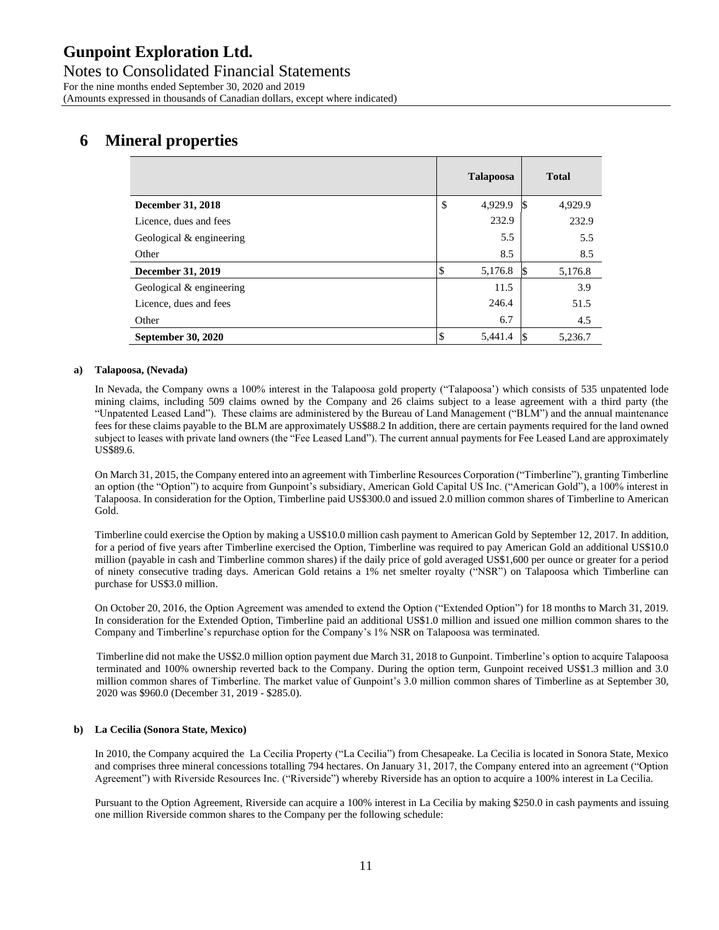### **6 Mineral properties**

|                          | <b>Talapoosa</b> |     | <b>Total</b> |
|--------------------------|------------------|-----|--------------|
| December 31, 2018        | \$<br>4,929.9    | 1\$ | 4,929.9      |
| Licence, dues and fees   | 232.9            |     | 232.9        |
| Geological & engineering | 5.5              |     | 5.5          |
| Other                    | 8.5              |     | 8.5          |
| December 31, 2019        | \$<br>5,176.8    |     | 5,176.8      |
| Geological & engineering | 11.5             |     | 3.9          |
| Licence, dues and fees   | 246.4            |     | 51.5         |
| Other                    | 6.7              |     | 4.5          |
| September 30, 2020       | 5,441.4          |     | 5,236.7      |

#### **a) Talapoosa, (Nevada)**

In Nevada, the Company owns a 100% interest in the Talapoosa gold property ("Talapoosa') which consists of 535 unpatented lode mining claims, including 509 claims owned by the Company and 26 claims subject to a lease agreement with a third party (the "Unpatented Leased Land"). These claims are administered by the Bureau of Land Management ("BLM") and the annual maintenance fees for these claims payable to the BLM are approximately US\$88.2 In addition, there are certain payments required for the land owned subject to leases with private land owners (the "Fee Leased Land"). The current annual payments for Fee Leased Land are approximately US\$89.6.

On March 31, 2015, the Company entered into an agreement with Timberline Resources Corporation ("Timberline"), granting Timberline an option (the "Option") to acquire from Gunpoint's subsidiary, American Gold Capital US Inc. ("American Gold"), a 100% interest in Talapoosa. In consideration for the Option, Timberline paid US\$300.0 and issued 2.0 million common shares of Timberline to American Gold.

Timberline could exercise the Option by making a US\$10.0 million cash payment to American Gold by September 12, 2017. In addition, for a period of five years after Timberline exercised the Option, Timberline was required to pay American Gold an additional US\$10.0 million (payable in cash and Timberline common shares) if the daily price of gold averaged US\$1,600 per ounce or greater for a period of ninety consecutive trading days. American Gold retains a 1% net smelter royalty ("NSR") on Talapoosa which Timberline can purchase for US\$3.0 million.

On October 20, 2016, the Option Agreement was amended to extend the Option ("Extended Option") for 18 months to March 31, 2019. In consideration for the Extended Option, Timberline paid an additional US\$1.0 million and issued one million common shares to the Company and Timberline's repurchase option for the Company's 1% NSR on Talapoosa was terminated.

Timberline did not make the US\$2.0 million option payment due March 31, 2018 to Gunpoint. Timberline's option to acquire Talapoosa terminated and 100% ownership reverted back to the Company. During the option term, Gunpoint received US\$1.3 million and 3.0 million common shares of Timberline. The market value of Gunpoint's 3.0 million common shares of Timberline as at September 30, 2020 was \$960.0 (December 31, 2019 - \$285.0).

#### **b) La Cecilia (Sonora State, Mexico)**

In 2010, the Company acquired the La Cecilia Property ("La Cecilia") from Chesapeake. La Cecilia is located in Sonora State, Mexico and comprises three mineral concessions totalling 794 hectares. On January 31, 2017, the Company entered into an agreement ("Option Agreement") with Riverside Resources Inc. ("Riverside") whereby Riverside has an option to acquire a 100% interest in La Cecilia.

Pursuant to the Option Agreement, Riverside can acquire a 100% interest in La Cecilia by making \$250.0 in cash payments and issuing one million Riverside common shares to the Company per the following schedule: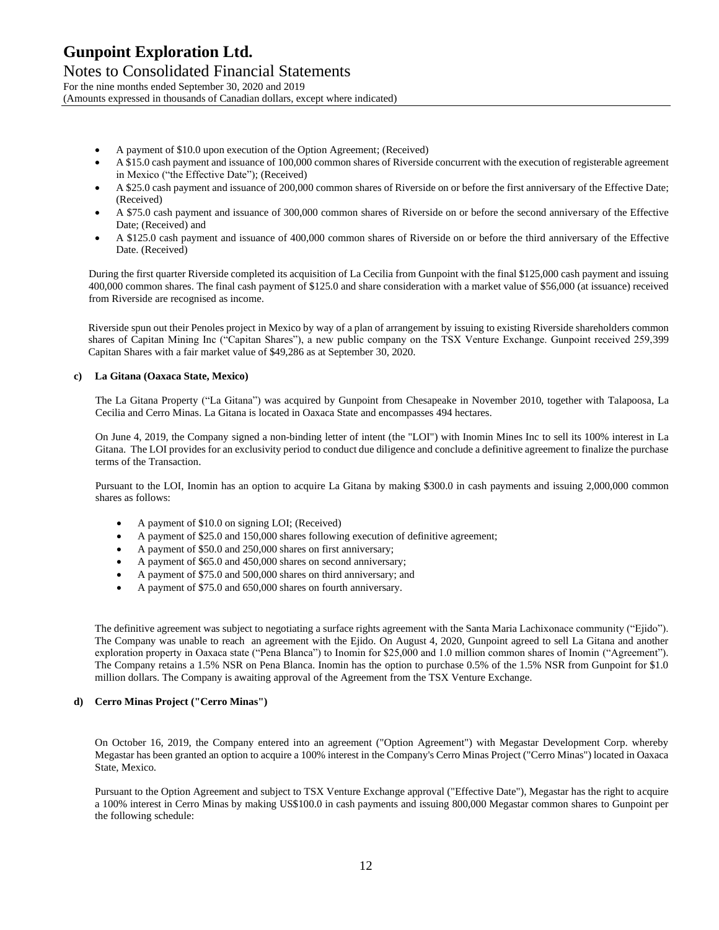Notes to Consolidated Financial Statements For the nine months ended September 30, 2020 and 2019 (Amounts expressed in thousands of Canadian dollars, except where indicated)

- A payment of \$10.0 upon execution of the Option Agreement; (Received)
- A \$15.0 cash payment and issuance of 100,000 common shares of Riverside concurrent with the execution of registerable agreement in Mexico ("the Effective Date"); (Received)
- A \$25.0 cash payment and issuance of 200,000 common shares of Riverside on or before the first anniversary of the Effective Date; (Received)
- A \$75.0 cash payment and issuance of 300,000 common shares of Riverside on or before the second anniversary of the Effective Date; (Received) and
- A \$125.0 cash payment and issuance of 400,000 common shares of Riverside on or before the third anniversary of the Effective Date. (Received)

During the first quarter Riverside completed its acquisition of La Cecilia from Gunpoint with the final \$125,000 cash payment and issuing 400,000 common shares. The final cash payment of \$125.0 and share consideration with a market value of \$56,000 (at issuance) received from Riverside are recognised as income.

Riverside spun out their Penoles project in Mexico by way of a plan of arrangement by issuing to existing Riverside shareholders common shares of Capitan Mining Inc ("Capitan Shares"), a new public company on the TSX Venture Exchange. Gunpoint received 259,399 Capitan Shares with a fair market value of \$49,286 as at September 30, 2020.

#### **c) La Gitana (Oaxaca State, Mexico)**

The La Gitana Property ("La Gitana") was acquired by Gunpoint from Chesapeake in November 2010, together with Talapoosa, La Cecilia and Cerro Minas. La Gitana is located in Oaxaca State and encompasses 494 hectares.

On June 4, 2019, the Company signed a non-binding letter of intent (the "LOI") with Inomin Mines Inc to sell its 100% interest in La Gitana. The LOI provides for an exclusivity period to conduct due diligence and conclude a definitive agreement to finalize the purchase terms of the Transaction.

Pursuant to the LOI, Inomin has an option to acquire La Gitana by making \$300.0 in cash payments and issuing 2,000,000 common shares as follows:

- A payment of \$10.0 on signing LOI; (Received)
- A payment of \$25.0 and 150,000 shares following execution of definitive agreement;
- A payment of \$50.0 and 250,000 shares on first anniversary;
- A payment of \$65.0 and 450,000 shares on second anniversary;
- A payment of \$75.0 and 500,000 shares on third anniversary; and
- A payment of \$75.0 and 650,000 shares on fourth anniversary.

The definitive agreement was subject to negotiating a surface rights agreement with the Santa Maria Lachixonace community ("Ejido"). The Company was unable to reach an agreement with the Ejido. On August 4, 2020, Gunpoint agreed to sell La Gitana and another exploration property in Oaxaca state ("Pena Blanca") to Inomin for \$25,000 and 1.0 million common shares of Inomin ("Agreement"). The Company retains a 1.5% NSR on Pena Blanca. Inomin has the option to purchase 0.5% of the 1.5% NSR from Gunpoint for \$1.0 million dollars. The Company is awaiting approval of the Agreement from the TSX Venture Exchange.

#### **d) Cerro Minas Project ("Cerro Minas")**

On October 16, 2019, the Company entered into an agreement ("Option Agreement") with Megastar Development Corp. whereby Megastar has been granted an option to acquire a 100% interest in the Company's Cerro Minas Project ("Cerro Minas") located in Oaxaca State, Mexico.

Pursuant to the Option Agreement and subject to TSX Venture Exchange approval ("Effective Date"), Megastar has the right to acquire a 100% interest in Cerro Minas by making US\$100.0 in cash payments and issuing 800,000 Megastar common shares to Gunpoint per the following schedule: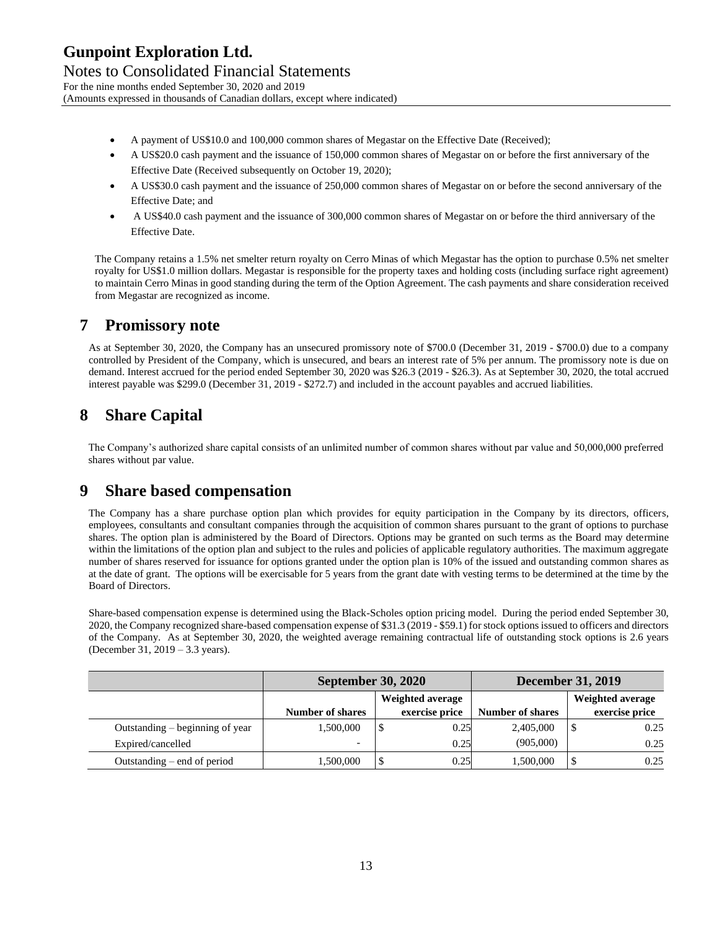Notes to Consolidated Financial Statements For the nine months ended September 30, 2020 and 2019 (Amounts expressed in thousands of Canadian dollars, except where indicated)

- A payment of US\$10.0 and 100,000 common shares of Megastar on the Effective Date (Received);
- A US\$20.0 cash payment and the issuance of 150,000 common shares of Megastar on or before the first anniversary of the Effective Date (Received subsequently on October 19, 2020);
- A US\$30.0 cash payment and the issuance of 250,000 common shares of Megastar on or before the second anniversary of the Effective Date; and
- A US\$40.0 cash payment and the issuance of 300,000 common shares of Megastar on or before the third anniversary of the Effective Date.

The Company retains a 1.5% net smelter return royalty on Cerro Minas of which Megastar has the option to purchase 0.5% net smelter royalty for US\$1.0 million dollars. Megastar is responsible for the property taxes and holding costs (including surface right agreement) to maintain Cerro Minas in good standing during the term of the Option Agreement. The cash payments and share consideration received from Megastar are recognized as income.

### **7 Promissory note**

As at September 30, 2020, the Company has an unsecured promissory note of \$700.0 (December 31, 2019 - \$700.0) due to a company controlled by President of the Company, which is unsecured, and bears an interest rate of 5% per annum. The promissory note is due on demand. Interest accrued for the period ended September 30, 2020 was \$26.3 (2019 - \$26.3). As at September 30, 2020, the total accrued interest payable was \$299.0 (December 31, 2019 - \$272.7) and included in the account payables and accrued liabilities.

# **8 Share Capital**

The Company's authorized share capital consists of an unlimited number of common shares without par value and 50,000,000 preferred shares without par value.

### **9 Share based compensation**

The Company has a share purchase option plan which provides for equity participation in the Company by its directors, officers, employees, consultants and consultant companies through the acquisition of common shares pursuant to the grant of options to purchase shares. The option plan is administered by the Board of Directors. Options may be granted on such terms as the Board may determine within the limitations of the option plan and subject to the rules and policies of applicable regulatory authorities. The maximum aggregate number of shares reserved for issuance for options granted under the option plan is 10% of the issued and outstanding common shares as at the date of grant. The options will be exercisable for 5 years from the grant date with vesting terms to be determined at the time by the Board of Directors.

Share-based compensation expense is determined using the Black-Scholes option pricing model. During the period ended September 30, 2020, the Company recognized share-based compensation expense of \$31.3 (2019 - \$59.1) for stock options issued to officers and directors of the Company. As at September 30, 2020, the weighted average remaining contractual life of outstanding stock options is 2.6 years (December 31, 2019 – 3.3 years).

|                                 | <b>September 30, 2020</b> |                  | <b>December 31, 2019</b> |                         |  |                  |
|---------------------------------|---------------------------|------------------|--------------------------|-------------------------|--|------------------|
|                                 |                           | Weighted average |                          |                         |  | Weighted average |
|                                 | <b>Number of shares</b>   |                  | exercise price           | <b>Number of shares</b> |  | exercise price   |
| Outstanding – beginning of year | 1,500,000                 |                  | 0.25                     | 2,405,000               |  | 0.25             |
| Expired/cancelled               | $\overline{\phantom{0}}$  |                  | 0.25                     | (905,000)               |  | 0.25             |
| Outstanding – end of period     | 1,500,000                 |                  | 0.25                     | 1,500,000               |  | 0.25             |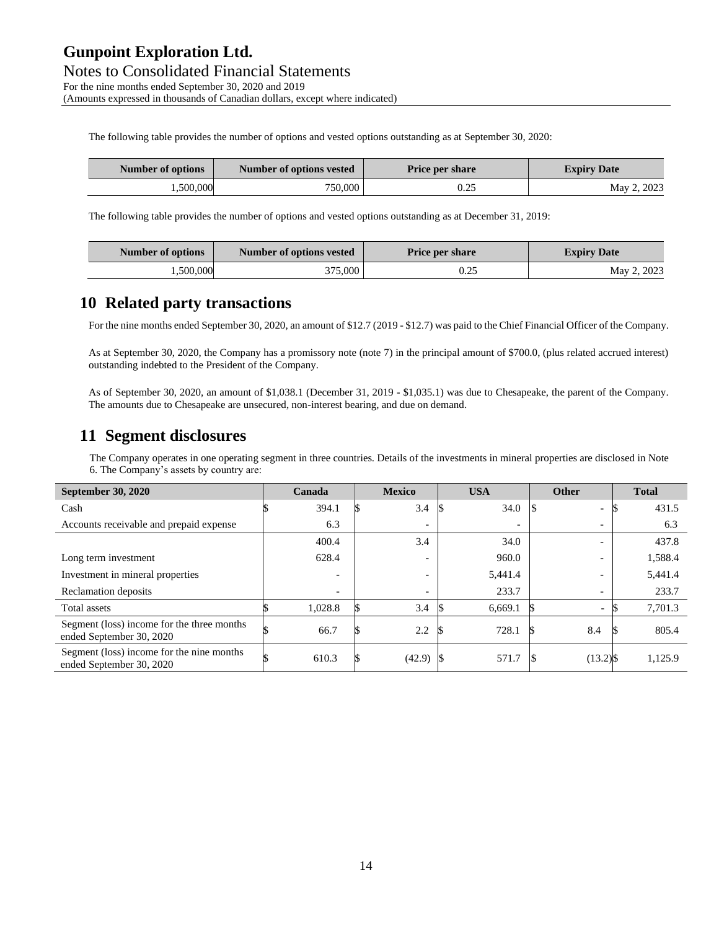Notes to Consolidated Financial Statements For the nine months ended September 30, 2020 and 2019 (Amounts expressed in thousands of Canadian dollars, except where indicated)

The following table provides the number of options and vested options outstanding as at September 30, 2020:

| Number of options | Number of options vested | <b>Price per share</b> | <b>Expiry Date</b> |
|-------------------|--------------------------|------------------------|--------------------|
| .500,000          | 750,000                  | 0.25                   | May 2, 2023        |

The following table provides the number of options and vested options outstanding as at December 31, 2019:

| Number of options | Number of options vested | <b>Price per share</b> | <b>Expiry Date</b> |
|-------------------|--------------------------|------------------------|--------------------|
| .500.000          | 375,000                  | 0.25                   | May 2, 2023        |

### **10 Related party transactions**

For the nine months ended September 30, 2020, an amount of \$12.7 (2019 - \$12.7) was paid to the Chief Financial Officer of the Company.

As at September 30, 2020, the Company has a promissory note (note 7) in the principal amount of \$700.0, (plus related accrued interest) outstanding indebted to the President of the Company.

As of September 30, 2020, an amount of \$1,038.1 (December 31, 2019 - \$1,035.1) was due to Chesapeake, the parent of the Company. The amounts due to Chesapeake are unsecured, non-interest bearing, and due on demand.

### **11 Segment disclosures**

The Company operates in one operating segment in three countries. Details of the investments in mineral properties are disclosed in Note 6. The Company's assets by country are:

| <b>September 30, 2020</b>                                              | Canada  |                          | <b>Mexico</b>            | <b>USA</b>               | <b>Other</b>             | <b>Total</b> |
|------------------------------------------------------------------------|---------|--------------------------|--------------------------|--------------------------|--------------------------|--------------|
| Cash                                                                   | 394.1   |                          | 3.4                      | 34.0                     | -                        | 431.5        |
| Accounts receivable and prepaid expense                                |         | 6.3                      | $\overline{\phantom{a}}$ | $\overline{\phantom{0}}$ | $\overline{\phantom{0}}$ | 6.3          |
|                                                                        | 400.4   |                          | 3.4                      | 34.0                     |                          | 437.8        |
| Long term investment                                                   | 628.4   |                          | ۰                        | 960.0                    |                          | 1,588.4      |
| Investment in mineral properties                                       |         | $\overline{\phantom{0}}$ | ۰                        | 5,441.4                  |                          | 5,441.4      |
| Reclamation deposits                                                   |         | $\overline{\phantom{0}}$ | $\overline{\phantom{a}}$ | 233.7                    | $\overline{\phantom{0}}$ | 233.7        |
| Total assets                                                           | 1,028.8 |                          | 3.4                      | 6,669.1                  |                          | 7,701.3      |
| Segment (loss) income for the three months<br>ended September 30, 2020 | 66.7    |                          | 2.2                      | 728.1                    | 8.4                      | 805.4        |
| Segment (loss) income for the nine months<br>ended September 30, 2020  | 610.3   |                          | ß.<br>$(42.9)$ $\vert \$ | 571.7                    | $(13.2)$ \$<br>- 18      | 1,125.9      |